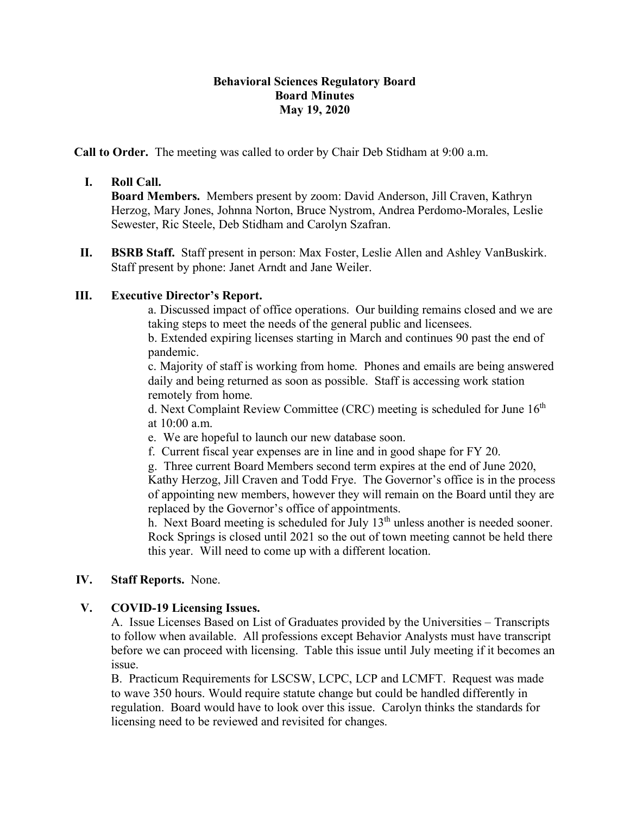## **Behavioral Sciences Regulatory Board Board Minutes May 19, 2020**

**Call to Order.** The meeting was called to order by Chair Deb Stidham at 9:00 a.m.

## **I. Roll Call.**

**Board Members.** Members present by zoom: David Anderson, Jill Craven, Kathryn Herzog, Mary Jones, Johnna Norton, Bruce Nystrom, Andrea Perdomo-Morales, Leslie Sewester, Ric Steele, Deb Stidham and Carolyn Szafran.

**II. BSRB Staff.** Staff present in person: Max Foster, Leslie Allen and Ashley VanBuskirk. Staff present by phone: Janet Arndt and Jane Weiler.

### **III. Executive Director's Report.**

a. Discussed impact of office operations. Our building remains closed and we are taking steps to meet the needs of the general public and licensees.

b. Extended expiring licenses starting in March and continues 90 past the end of pandemic.

c. Majority of staff is working from home. Phones and emails are being answered daily and being returned as soon as possible. Staff is accessing work station remotely from home.

d. Next Complaint Review Committee (CRC) meeting is scheduled for June  $16<sup>th</sup>$ at 10:00 a.m.

- e. We are hopeful to launch our new database soon.
- f. Current fiscal year expenses are in line and in good shape for FY 20.

g. Three current Board Members second term expires at the end of June 2020, Kathy Herzog, Jill Craven and Todd Frye. The Governor's office is in the process of appointing new members, however they will remain on the Board until they are replaced by the Governor's office of appointments.

h. Next Board meeting is scheduled for July 13<sup>th</sup> unless another is needed sooner. Rock Springs is closed until 2021 so the out of town meeting cannot be held there this year. Will need to come up with a different location.

# **IV. Staff Reports.** None.

# **V. COVID-19 Licensing Issues.**

A. Issue Licenses Based on List of Graduates provided by the Universities – Transcripts to follow when available. All professions except Behavior Analysts must have transcript before we can proceed with licensing. Table this issue until July meeting if it becomes an issue.

B. Practicum Requirements for LSCSW, LCPC, LCP and LCMFT. Request was made to wave 350 hours. Would require statute change but could be handled differently in regulation. Board would have to look over this issue. Carolyn thinks the standards for licensing need to be reviewed and revisited for changes.